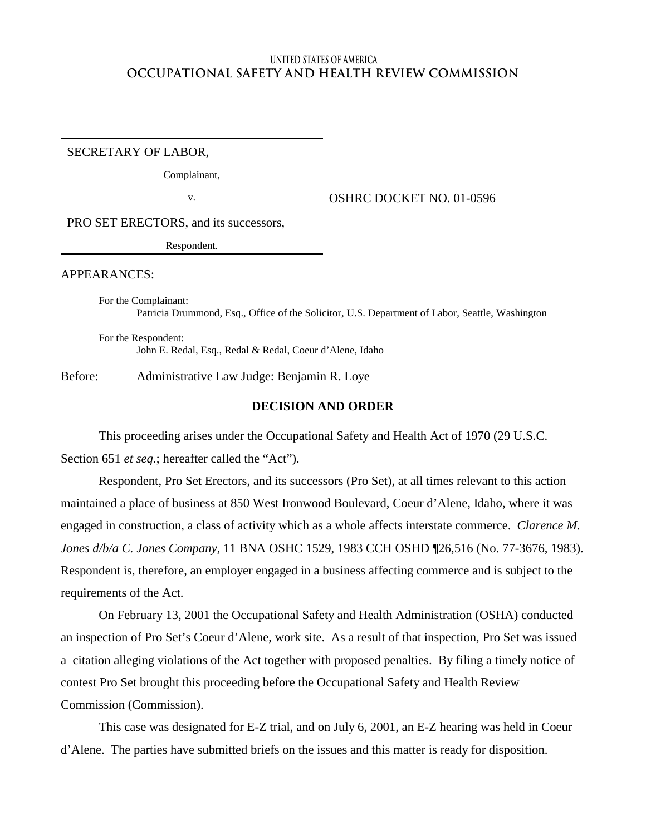# **United States of America OCCUPATIONAL SAFETY AND HEALTH REVIEW COMMISSION**

SECRETARY OF LABOR,

Complainant,

v. Solution of the SHRC DOCKET NO. 01-0596

PRO SET ERECTORS, and its successors,

Respondent.

#### APPEARANCES:

For the Complainant: Patricia Drummond, Esq., Office of the Solicitor, U.S. Department of Labor, Seattle, Washington

For the Respondent: John E. Redal, Esq., Redal & Redal, Coeur d'Alene, Idaho

Before: Administrative Law Judge: Benjamin R. Loye

## **DECISION AND ORDER**

This proceeding arises under the Occupational Safety and Health Act of 1970 (29 U.S.C. Section 651 *et seq.*; hereafter called the "Act").

Respondent, Pro Set Erectors, and its successors (Pro Set), at all times relevant to this action maintained a place of business at 850 West Ironwood Boulevard, Coeur d'Alene, Idaho, where it was engaged in construction, a class of activity which as a whole affects interstate commerce. *Clarence M. Jones d/b/a C. Jones Company,* 11 BNA OSHC 1529, 1983 CCH OSHD ¶26,516 (No. 77-3676, 1983). Respondent is, therefore, an employer engaged in a business affecting commerce and is subject to the requirements of the Act.

On February 13, 2001 the Occupational Safety and Health Administration (OSHA) conducted an inspection of Pro Set's Coeur d'Alene, work site. As a result of that inspection, Pro Set was issued a citation alleging violations of the Act together with proposed penalties. By filing a timely notice of contest Pro Set brought this proceeding before the Occupational Safety and Health Review Commission (Commission).

This case was designated for E-Z trial, and on July 6, 2001, an E-Z hearing was held in Coeur d'Alene. The parties have submitted briefs on the issues and this matter is ready for disposition.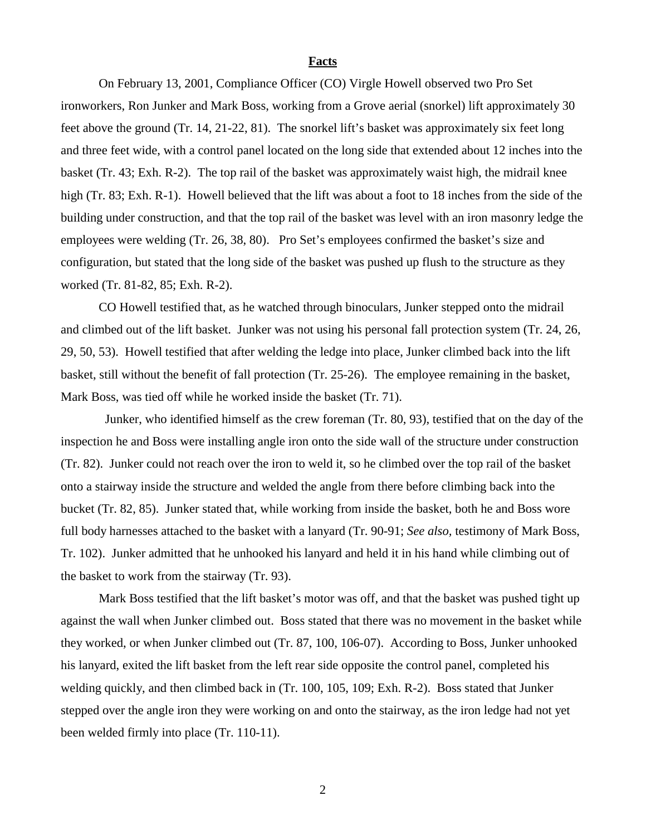#### **Facts**

On February 13, 2001, Compliance Officer (CO) Virgle Howell observed two Pro Set ironworkers, Ron Junker and Mark Boss, working from a Grove aerial (snorkel) lift approximately 30 feet above the ground (Tr. 14, 21-22, 81). The snorkel lift's basket was approximately six feet long and three feet wide, with a control panel located on the long side that extended about 12 inches into the basket (Tr. 43; Exh. R-2). The top rail of the basket was approximately waist high, the midrail knee high (Tr. 83; Exh. R-1). Howell believed that the lift was about a foot to 18 inches from the side of the building under construction, and that the top rail of the basket was level with an iron masonry ledge the employees were welding (Tr. 26, 38, 80). Pro Set's employees confirmed the basket's size and configuration, but stated that the long side of the basket was pushed up flush to the structure as they worked (Tr. 81-82, 85; Exh. R-2).

CO Howell testified that, as he watched through binoculars, Junker stepped onto the midrail and climbed out of the lift basket. Junker was not using his personal fall protection system (Tr. 24, 26, 29, 50, 53). Howell testified that after welding the ledge into place, Junker climbed back into the lift basket, still without the benefit of fall protection (Tr. 25-26). The employee remaining in the basket, Mark Boss, was tied off while he worked inside the basket (Tr. 71).

Junker, who identified himself as the crew foreman (Tr. 80, 93), testified that on the day of the inspection he and Boss were installing angle iron onto the side wall of the structure under construction (Tr. 82). Junker could not reach over the iron to weld it, so he climbed over the top rail of the basket onto a stairway inside the structure and welded the angle from there before climbing back into the bucket (Tr. 82, 85). Junker stated that, while working from inside the basket, both he and Boss wore full body harnesses attached to the basket with a lanyard (Tr. 90-91; *See also,* testimony of Mark Boss, Tr. 102). Junker admitted that he unhooked his lanyard and held it in his hand while climbing out of the basket to work from the stairway (Tr. 93).

Mark Boss testified that the lift basket's motor was off, and that the basket was pushed tight up against the wall when Junker climbed out. Boss stated that there was no movement in the basket while they worked, or when Junker climbed out (Tr. 87, 100, 106-07). According to Boss, Junker unhooked his lanyard, exited the lift basket from the left rear side opposite the control panel, completed his welding quickly, and then climbed back in (Tr. 100, 105, 109; Exh. R-2). Boss stated that Junker stepped over the angle iron they were working on and onto the stairway, as the iron ledge had not yet been welded firmly into place (Tr. 110-11).

2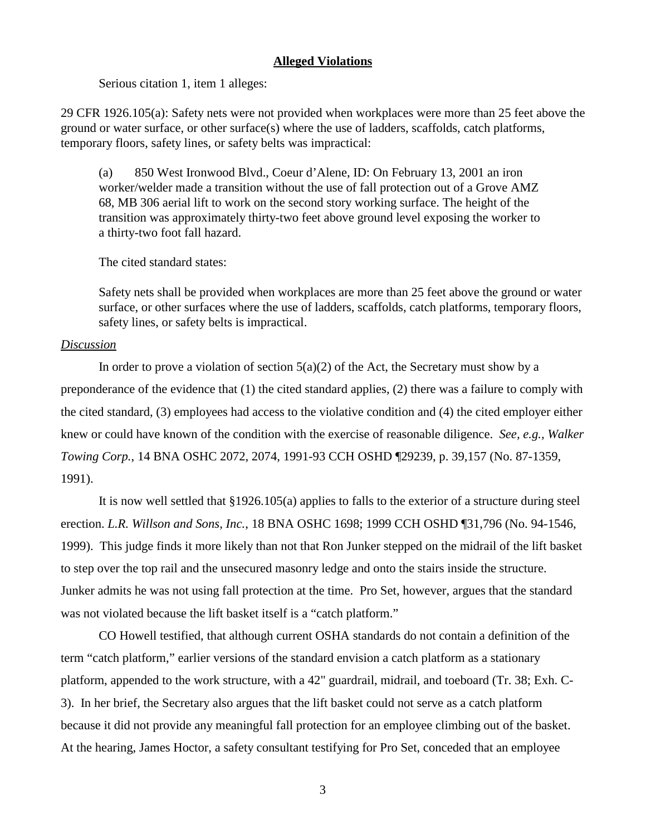#### **Alleged Violations**

Serious citation 1, item 1 alleges:

29 CFR 1926.105(a): Safety nets were not provided when workplaces were more than 25 feet above the ground or water surface, or other surface(s) where the use of ladders, scaffolds, catch platforms, temporary floors, safety lines, or safety belts was impractical:

(a) 850 West Ironwood Blvd., Coeur d'Alene, ID: On February 13, 2001 an iron worker/welder made a transition without the use of fall protection out of a Grove AMZ 68, MB 306 aerial lift to work on the second story working surface. The height of the transition was approximately thirty-two feet above ground level exposing the worker to a thirty-two foot fall hazard.

The cited standard states:

Safety nets shall be provided when workplaces are more than 25 feet above the ground or water surface, or other surfaces where the use of ladders, scaffolds, catch platforms, temporary floors, safety lines, or safety belts is impractical.

## *Discussion*

In order to prove a violation of section  $5(a)(2)$  of the Act, the Secretary must show by a preponderance of the evidence that (1) the cited standard applies, (2) there was a failure to comply with the cited standard, (3) employees had access to the violative condition and (4) the cited employer either knew or could have known of the condition with the exercise of reasonable diligence. *See, e.g., Walker Towing Corp.*, 14 BNA OSHC 2072, 2074, 1991-93 CCH OSHD ¶29239, p. 39,157 (No. 87-1359, 1991).

It is now well settled that §1926.105(a) applies to falls to the exterior of a structure during steel erection. *L.R. Willson and Sons, Inc.*, 18 BNA OSHC 1698; 1999 CCH OSHD ¶31,796 (No. 94-1546, 1999). This judge finds it more likely than not that Ron Junker stepped on the midrail of the lift basket to step over the top rail and the unsecured masonry ledge and onto the stairs inside the structure. Junker admits he was not using fall protection at the time. Pro Set, however, argues that the standard was not violated because the lift basket itself is a "catch platform."

CO Howell testified, that although current OSHA standards do not contain a definition of the term "catch platform," earlier versions of the standard envision a catch platform as a stationary platform, appended to the work structure, with a 42" guardrail, midrail, and toeboard (Tr. 38; Exh. C-3). In her brief, the Secretary also argues that the lift basket could not serve as a catch platform because it did not provide any meaningful fall protection for an employee climbing out of the basket. At the hearing, James Hoctor, a safety consultant testifying for Pro Set, conceded that an employee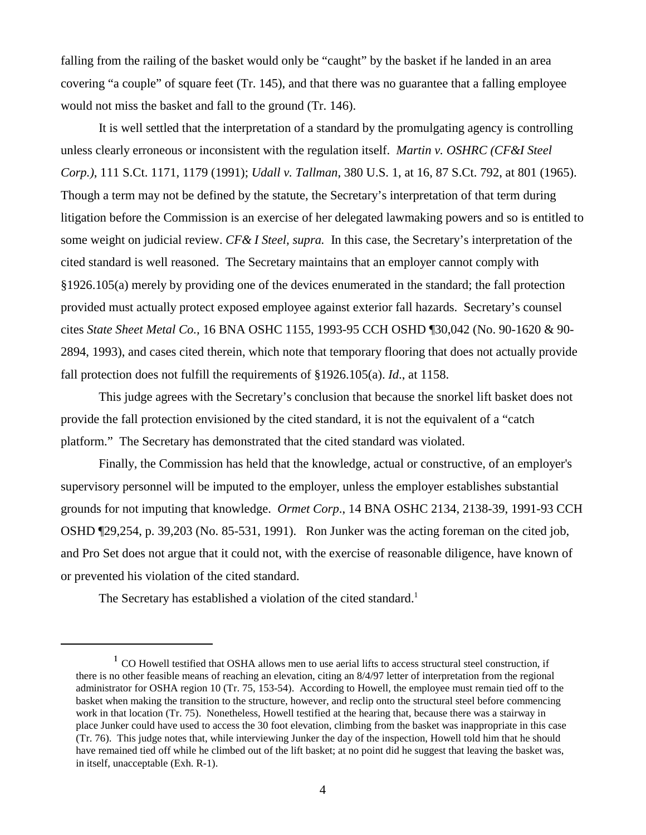falling from the railing of the basket would only be "caught" by the basket if he landed in an area covering "a couple" of square feet (Tr. 145), and that there was no guarantee that a falling employee would not miss the basket and fall to the ground (Tr. 146).

It is well settled that the interpretation of a standard by the promulgating agency is controlling unless clearly erroneous or inconsistent with the regulation itself. *Martin v. OSHRC (CF&I Steel Corp.)*, 111 S.Ct. 1171, 1179 (1991); *Udall v. Tallman*, 380 U.S. 1, at 16, 87 S.Ct. 792, at 801 (1965). Though a term may not be defined by the statute, the Secretary's interpretation of that term during litigation before the Commission is an exercise of her delegated lawmaking powers and so is entitled to some weight on judicial review. *CF& I Steel, supra.* In this case, the Secretary's interpretation of the cited standard is well reasoned. The Secretary maintains that an employer cannot comply with §1926.105(a) merely by providing one of the devices enumerated in the standard; the fall protection provided must actually protect exposed employee against exterior fall hazards. Secretary's counsel cites *State Sheet Metal Co.,* 16 BNA OSHC 1155, 1993-95 CCH OSHD ¶30,042 (No. 90-1620 & 90- 2894, 1993), and cases cited therein, which note that temporary flooring that does not actually provide fall protection does not fulfill the requirements of §1926.105(a). *Id*., at 1158.

This judge agrees with the Secretary's conclusion that because the snorkel lift basket does not provide the fall protection envisioned by the cited standard, it is not the equivalent of a "catch platform." The Secretary has demonstrated that the cited standard was violated.

Finally, the Commission has held that the knowledge, actual or constructive, of an employer's supervisory personnel will be imputed to the employer, unless the employer establishes substantial grounds for not imputing that knowledge. *Ormet Corp*., 14 BNA OSHC 2134, 2138-39, 1991-93 CCH OSHD ¶29,254, p. 39,203 (No. 85-531, 1991). Ron Junker was the acting foreman on the cited job, and Pro Set does not argue that it could not, with the exercise of reasonable diligence, have known of or prevented his violation of the cited standard.

The Secretary has established a violation of the cited standard.<sup>1</sup>

<sup>&</sup>lt;sup>1</sup> CO Howell testified that OSHA allows men to use aerial lifts to access structural steel construction, if there is no other feasible means of reaching an elevation, citing an 8/4/97 letter of interpretation from the regional administrator for OSHA region 10 (Tr. 75, 153-54). According to Howell, the employee must remain tied off to the basket when making the transition to the structure, however, and reclip onto the structural steel before commencing work in that location (Tr. 75). Nonetheless, Howell testified at the hearing that, because there was a stairway in place Junker could have used to access the 30 foot elevation, climbing from the basket was inappropriate in this case (Tr. 76). This judge notes that, while interviewing Junker the day of the inspection, Howell told him that he should have remained tied off while he climbed out of the lift basket; at no point did he suggest that leaving the basket was, in itself, unacceptable (Exh. R-1).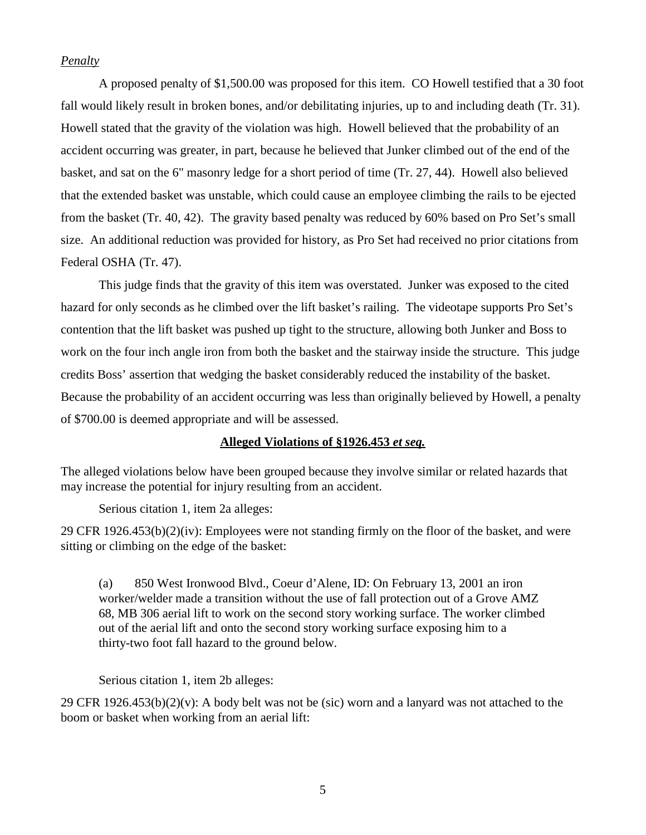## *Penalty*

A proposed penalty of \$1,500.00 was proposed for this item. CO Howell testified that a 30 foot fall would likely result in broken bones, and/or debilitating injuries, up to and including death (Tr. 31). Howell stated that the gravity of the violation was high. Howell believed that the probability of an accident occurring was greater, in part, because he believed that Junker climbed out of the end of the basket, and sat on the 6" masonry ledge for a short period of time (Tr. 27, 44). Howell also believed that the extended basket was unstable, which could cause an employee climbing the rails to be ejected from the basket (Tr. 40, 42). The gravity based penalty was reduced by 60% based on Pro Set's small size. An additional reduction was provided for history, as Pro Set had received no prior citations from Federal OSHA (Tr. 47).

This judge finds that the gravity of this item was overstated. Junker was exposed to the cited hazard for only seconds as he climbed over the lift basket's railing. The videotape supports Pro Set's contention that the lift basket was pushed up tight to the structure, allowing both Junker and Boss to work on the four inch angle iron from both the basket and the stairway inside the structure. This judge credits Boss' assertion that wedging the basket considerably reduced the instability of the basket. Because the probability of an accident occurring was less than originally believed by Howell, a penalty of \$700.00 is deemed appropriate and will be assessed.

## **Alleged Violations of §1926.453** *et seq.*

The alleged violations below have been grouped because they involve similar or related hazards that may increase the potential for injury resulting from an accident.

Serious citation 1, item 2a alleges:

29 CFR 1926.453(b)(2)(iv): Employees were not standing firmly on the floor of the basket, and were sitting or climbing on the edge of the basket:

(a) 850 West Ironwood Blvd., Coeur d'Alene, ID: On February 13, 2001 an iron worker/welder made a transition without the use of fall protection out of a Grove AMZ 68, MB 306 aerial lift to work on the second story working surface. The worker climbed out of the aerial lift and onto the second story working surface exposing him to a thirty-two foot fall hazard to the ground below.

Serious citation 1, item 2b alleges:

29 CFR 1926.453(b)(2)(v): A body belt was not be (sic) worn and a lanyard was not attached to the boom or basket when working from an aerial lift: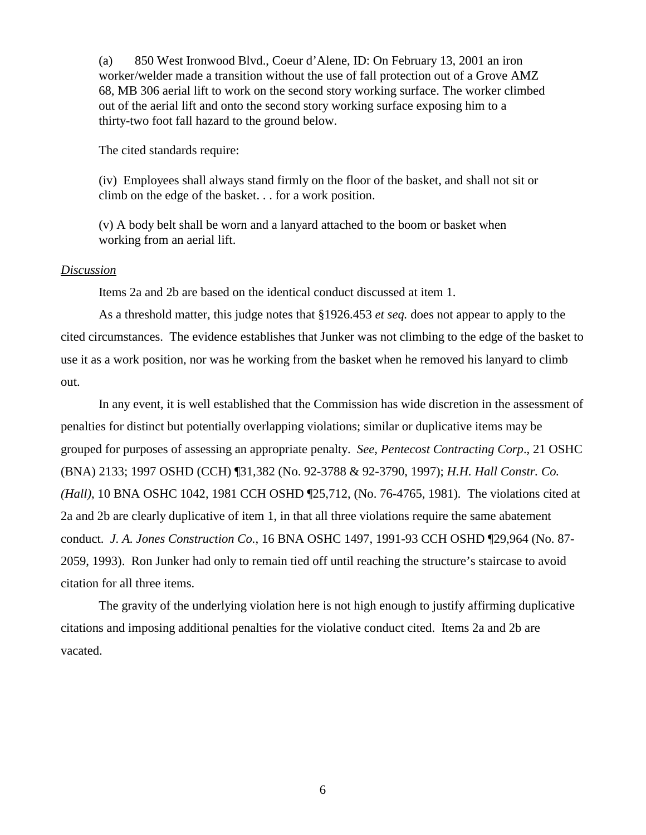(a) 850 West Ironwood Blvd., Coeur d'Alene, ID: On February 13, 2001 an iron worker/welder made a transition without the use of fall protection out of a Grove AMZ 68, MB 306 aerial lift to work on the second story working surface. The worker climbed out of the aerial lift and onto the second story working surface exposing him to a thirty-two foot fall hazard to the ground below.

The cited standards require:

(iv) Employees shall always stand firmly on the floor of the basket, and shall not sit or climb on the edge of the basket. . . for a work position.

(v) A body belt shall be worn and a lanyard attached to the boom or basket when working from an aerial lift.

#### *Discussion*

Items 2a and 2b are based on the identical conduct discussed at item 1.

As a threshold matter, this judge notes that §1926.453 *et seq.* does not appear to apply to the cited circumstances. The evidence establishes that Junker was not climbing to the edge of the basket to use it as a work position, nor was he working from the basket when he removed his lanyard to climb out.

In any event, it is well established that the Commission has wide discretion in the assessment of penalties for distinct but potentially overlapping violations; similar or duplicative items may be grouped for purposes of assessing an appropriate penalty. *See, Pentecost Contracting Corp*., 21 OSHC (BNA) 2133; 1997 OSHD (CCH) ¶31,382 (No. 92-3788 & 92-3790, 1997); *H.H. Hall Constr. Co. (Hall)*, 10 BNA OSHC 1042, 1981 CCH OSHD ¶25,712, (No. 76-4765, 1981)*.* The violations cited at 2a and 2b are clearly duplicative of item 1, in that all three violations require the same abatement conduct. *J. A. Jones Construction Co.*, 16 BNA OSHC 1497, 1991-93 CCH OSHD ¶29,964 (No. 87- 2059, 1993). Ron Junker had only to remain tied off until reaching the structure's staircase to avoid citation for all three items.

The gravity of the underlying violation here is not high enough to justify affirming duplicative citations and imposing additional penalties for the violative conduct cited. Items 2a and 2b are vacated.